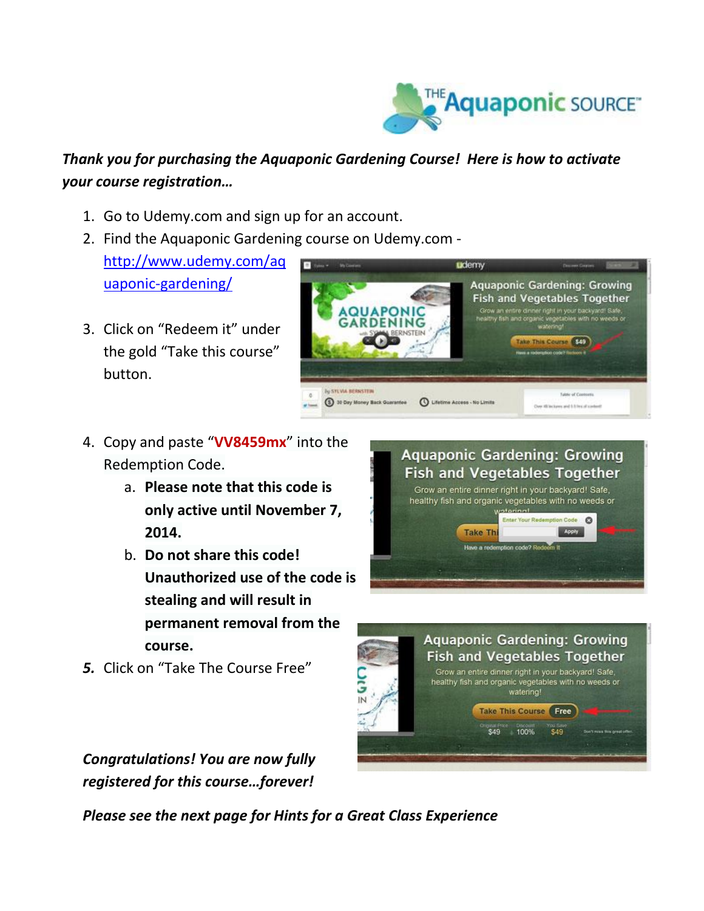

## *Thank you for purchasing the Aquaponic Gardening Course! Here is how to activate your course registration…*

- 1. Go to Udemy.com and sign up for an account.
- 2. Find the Aquaponic Gardening course on Udemy.com [http://www.udemy.com/aq](http://www.udemy.com/aquaponic-gardening/) [uaponic-gardening/](http://www.udemy.com/aquaponic-gardening/)
- 3. Click on "Redeem it" under the gold "Take this course" button.



- 4. Copy and paste "**VV8459mx**" into the Redemption Code.
	- a. **Please note that this code is only active until November 7, 2014.**
	- b. **Do not share this code! Unauthorized use of the code is stealing and will result in permanent removal from the course.**
- *5.* Click on "Take The Course Free"





*Congratulations! You are now fully registered for this course…forever!* 

*Please see the next page for Hints for a Great Class Experience*